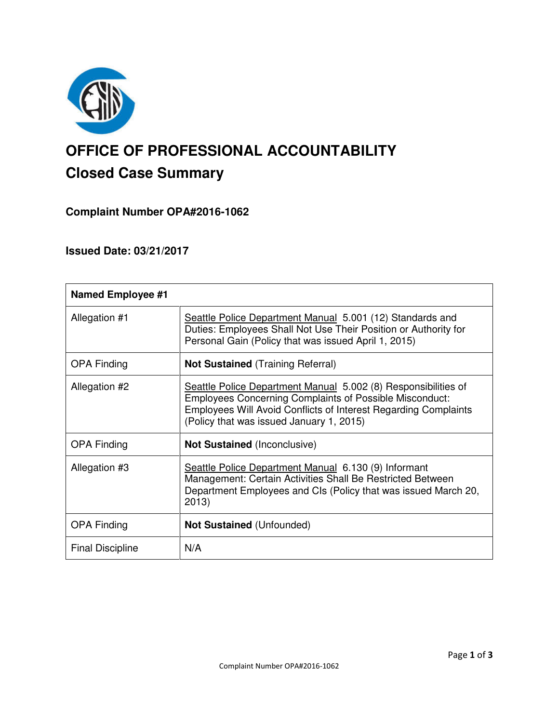

# **OFFICE OF PROFESSIONAL ACCOUNTABILITY Closed Case Summary**

# **Complaint Number OPA#2016-1062**

# **Issued Date: 03/21/2017**

| <b>Named Employee #1</b> |                                                                                                                                                                                                                                                        |
|--------------------------|--------------------------------------------------------------------------------------------------------------------------------------------------------------------------------------------------------------------------------------------------------|
| Allegation #1            | Seattle Police Department Manual 5.001 (12) Standards and<br>Duties: Employees Shall Not Use Their Position or Authority for<br>Personal Gain (Policy that was issued April 1, 2015)                                                                   |
| <b>OPA Finding</b>       | <b>Not Sustained</b> (Training Referral)                                                                                                                                                                                                               |
| Allegation #2            | Seattle Police Department Manual 5.002 (8) Responsibilities of<br><b>Employees Concerning Complaints of Possible Misconduct:</b><br><b>Employees Will Avoid Conflicts of Interest Regarding Complaints</b><br>(Policy that was issued January 1, 2015) |
| <b>OPA Finding</b>       | <b>Not Sustained (Inconclusive)</b>                                                                                                                                                                                                                    |
| Allegation #3            | Seattle Police Department Manual 6.130 (9) Informant<br>Management: Certain Activities Shall Be Restricted Between<br>Department Employees and CIs (Policy that was issued March 20,<br>2013)                                                          |
| <b>OPA Finding</b>       | <b>Not Sustained (Unfounded)</b>                                                                                                                                                                                                                       |
| <b>Final Discipline</b>  | N/A                                                                                                                                                                                                                                                    |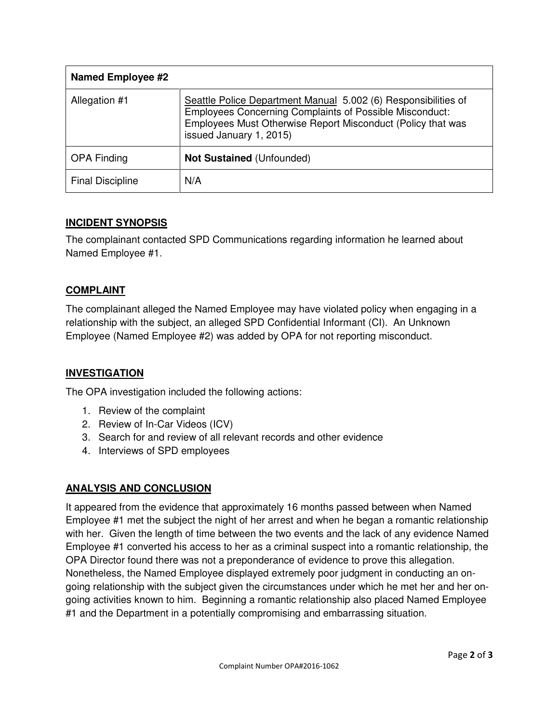| <b>Named Employee #2</b> |                                                                                                                                                                                                                            |
|--------------------------|----------------------------------------------------------------------------------------------------------------------------------------------------------------------------------------------------------------------------|
| Allegation #1            | Seattle Police Department Manual 5.002 (6) Responsibilities of<br><b>Employees Concerning Complaints of Possible Misconduct:</b><br>Employees Must Otherwise Report Misconduct (Policy that was<br>issued January 1, 2015) |
| <b>OPA Finding</b>       | <b>Not Sustained (Unfounded)</b>                                                                                                                                                                                           |
| <b>Final Discipline</b>  | N/A                                                                                                                                                                                                                        |

## **INCIDENT SYNOPSIS**

The complainant contacted SPD Communications regarding information he learned about Named Employee #1.

# **COMPLAINT**

The complainant alleged the Named Employee may have violated policy when engaging in a relationship with the subject, an alleged SPD Confidential Informant (CI). An Unknown Employee (Named Employee #2) was added by OPA for not reporting misconduct.

## **INVESTIGATION**

The OPA investigation included the following actions:

- 1. Review of the complaint
- 2. Review of In-Car Videos (ICV)
- 3. Search for and review of all relevant records and other evidence
- 4. Interviews of SPD employees

## **ANALYSIS AND CONCLUSION**

It appeared from the evidence that approximately 16 months passed between when Named Employee #1 met the subject the night of her arrest and when he began a romantic relationship with her. Given the length of time between the two events and the lack of any evidence Named Employee #1 converted his access to her as a criminal suspect into a romantic relationship, the OPA Director found there was not a preponderance of evidence to prove this allegation. Nonetheless, the Named Employee displayed extremely poor judgment in conducting an ongoing relationship with the subject given the circumstances under which he met her and her ongoing activities known to him. Beginning a romantic relationship also placed Named Employee #1 and the Department in a potentially compromising and embarrassing situation.